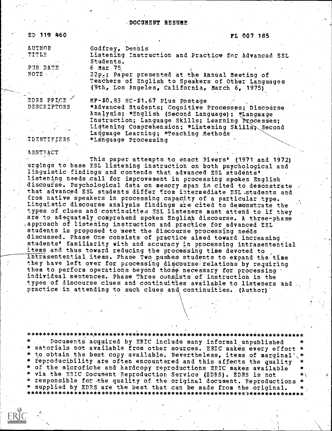#### -DOCUMENT RESUME.

| ED 119 460  | <b>FL 007 185</b>                                                                                    |
|-------------|------------------------------------------------------------------------------------------------------|
| AUTHOR      | Godfrey, Dennis                                                                                      |
| TITLE       | Listening Instruction and Practice for Advanced ESL<br>Students.                                     |
| PUB DATE    | 6 Mar 75                                                                                             |
| NOTE .      | 22p.; Paper presented at the Annual Meeting of<br>Teachers of English to Speakers of Other Languages |
|             | (9th, Los Angeles, California, March 6, 1975)                                                        |
| EDRS PRICE  | MF-\$0.83 HC-\$1.67 Plus Postage                                                                     |
| DESCRIPTORS | *Advanced Students; Cognitive Processes; Discourse                                                   |
|             | Analysis; *English (Second Language); *Language                                                      |
|             | Instruction; Language Skills; Learning Processes;                                                    |
|             | Listening Comprehension; *Listening Skills, Second                                                   |
|             | Language Learning; *Teaching Methods                                                                 |

IDENTIFIERS \*Language Processing

ABSTRACT

This paper attempts to enact Rivers' (1971 and 1972) urgings to base ESL listening instruction on both psychological and linguistic findings and contends that advanced ESL students' listening needs call for improvement in processing spoken English discourse. Psychological data on memory span is cited to demonstrate that advanced ESL students differ from intermediate ESL students and from native speakers in processing capacity of a particular type. Linguistic discourse analysis findings are cited to demonstrate the types of clues and continuities ESL listeners must attend to if they are to adequately comprehend spoken English discourse. A three-phase ,approach of listening instruction and practice for advanced ESL students is proposed to meet the discourse processing needs discussed. Phase One consists of practice aimed toward increasing students' familiarity with and accuracy in processing intrasentential items and thus toward reducing the processing time devoted to intrasentential items. Phase Two \_pushes students to expand the time they have left over for processing discourse relations by requiring them to perform operations beyond those necessary for processing individual sentences. Phase Three consists of instruction in the types of discourse clues and continuities available to listeners and practice in attending to such clues and, continuities. (Author)'

\*\*\*\*\*\*\*\*\*\*\*\*\*\*\*\*\*\*\*\*\*\*\*\*\*\*\*\*\*\*\*\*\*\*\* \* Documents acquired by ERIC include many informal unpublished materials not available from other sources. ERIC makes every effort \* \* to obtain the best copy available. Nevertheless, items of marginal'.<br>\* reproducibility are often encountered and this affects the quality \* of the microfiche and hardcopy reproductions ERIC makes available \* \* via the microfiche and hardcopy reproductions ERIC makes available responsible for the quality of the original document. Reproductions  $*$ \* supplied by EDRS are the best that can be made from the original. \* \*\*\*\*\*\*\*\*\*\*\*\*\*\*\*\*\*\*\*\*\*\*\*\*\*\*\*\*\*\*\*\*\*\*\*\*\*\*\*\*\*\*\*\*\*\*\*\*\*\*\*\*\*\*\*\*\*\*\*\*\*\*\*\*\*\*\*\*\*\*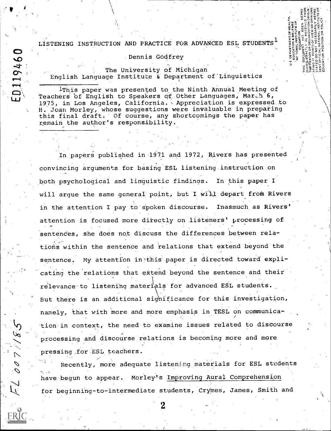LISTENING INSTRUCTION AND PRACTICE FOR ADVANCED ESL STUDENTS  $^{\mathrm{1}}$ 

E SO O E U

 $\S$   $\sim$   $\sim$ 

 $+9+422$ m  $\mid$ 

5…… "e9 zitu zitu dia

#### Dennis Godfrey

The University of Michigan English Language Institute & Department of Linguistics

ED119460

1This papet was presented to the Ninth Annual Meeting of Teachers of English to Speakers of Other Languages, Mar.h 6, 1975, in Los Angeles, California. Appreciation is expressed to H. Joan Morley, whose suggestions were invaluable in preparing this final draft. Of course, any shortcomings the paper has remain the author's responsibility.

In papers published in 1971 and 1972, Rivers has presented convincing arguments for basing ESL listening,instruction on both psychological and linguistic findings. In this paper I will argue the same general point, but I will depart from Rivers in the attention I pay to spoken discourse. Inasmuch as Rivers' attention is focused more directly on listeners' processing of sentences, she does not discuss the differences between relations within the sentence and relations that extend beyond the sentence. My attention in this paper is directed toward explicating the relations that extend beyond the sentence and their. relevance to listening materials for advanced ESL students. But there is an additional sighificance for this investigation, namely, that with more and more emphasis in TESL on communica- 'tion-in context, the need to examine issues related to discourse processing and discoutse relations is becoming more and more pressing for ESL teachers.

Herbert (1986)<br>Herbert (1986) Recently, more adequate listening materials for ESL students  $\mathcal{O}$  and  $\mathcal{O}$ have begun to appear. Morley's Improving Aural Comprehension for beginning-to-intermediate students, Crymes, James, Smith and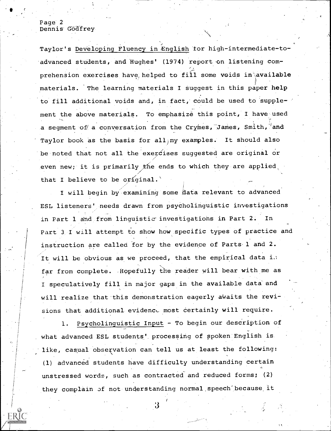## Page 2 Dennis Godfrey

Taylor's Developing Fluency in English for high-intermediate-toadvanced students, and Hughes' (1974) report on listening com-,-, prehension exercises have helped to fill some voids in available materials. The learning materials I suggest in this paper help to fill additional voids and, in fact, could be used to supplement the above materials. To emphasize this point, I have used a segment of a conversation from the Crymes, James, Smith,  $'$ and Taylor book as the basis for all my examples. It should also be noted that not all the exercises suggested are original or even new; it is primarily the ends to which they are applied, that I believe to be original.

I will begin by examining some data relevant to advanced ESL listeners' needs drawn from psycholinguistic investigations in Part 1 and from linguistic investigations in Part 2. In Part 3-I will attempt to show how specific types of practice and instruction are called for by the evidence of Parts.1 and 2. It will be obvious as we proceed, that the empirical data i. far from complete. .Hopefully the reader will bear with me as I speculatively fill in major gaps in the available data and will realize that this demonstration eagerly awaits the revisions that additional evidence most certainly will require.

1. Psycholinguistic Input - To begin our description of what advanced ESL students' processing of spoken English is. like, casual observation can tell us at least the following: (1) advanced students have difficulty understanding certain unstressed words, such as contracted and reduced forms; (2) they complain of not understanding normal speech because it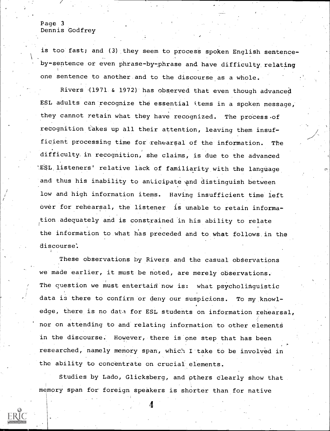#### Page 3 Dennis Godfrey

is too fast; and (3) they seem to process spoken English sentenceby-sentence or even phrase-by-phrase and have difficulty relating one sentence to another and to the discourse as a whole.

Rivers (1971 & 1972) has observed that even though advanced ESL adults can recognize the essential items in a spoken message, they cannot retain what they have recognized. The process of recognition takes up all their attention, leaving them insufficient processing time for rehearsal of the information. The difficulty. in recognition, she claims, is due to the advanced 'ESL, listeners' relative lack of familiarity, with the language and thus his inability to anticipate and distinguish between low and high information items. Having insufficient time left over for rehearsal, the listener is unable to retain information.adequately and is constrained in his ability to relate the information to what has preceded and to what follows. in the discourse:

These observations by Rivers. and the casual observations we made earlier, it must be noted, are merely observations.. The question we must entertain now is: what psycholinguistic data is there to confirm or deny our suspicions. To my knowledge, there is no data for ESL students on information rehearsal, nor on attending to and relating information to other elements in the discourse: However, there is one step that has been researched, namely memory span, which I take to be involved in the ability to concentrate on crucial elements.

Studies by Lado, Glicksberg, and pthers clearly show that Memory span for foreign speakers is shorter than for native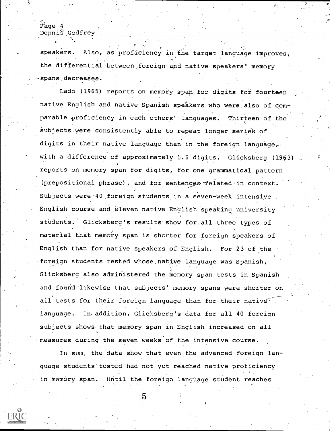# Page 4 Dennis Godfrey

speakers. Also, as proficiency in the target language improves, the differential between foreign and native speakers' memory -spans,decreases.

 $r_{\rm max}$ 

Lado (1965) reports on memory span:for digits for fourteen native English and native Spanish speakers who were also of comparable proficiency in each others' languages. Thirteen of the subjects were consistently able to repeat longer series of digits in their native language than in the foreign language, with a difference of approximately 1.6 digits. Glicksberg (1963) reports on memory span for digits, for one grammatical pattern (prepositional phrase), and.for sentences-felated.in context. Subjects were 40 foreign students in a seven-week intensive English course and eleven native English speaking university students. Glicksberg's results show for all three types of material that memory span is shorter for foreign speakers of English than for native speakers of English. For 23 of the foreign students tested whose native language was Spanish, Glicksberg also administered the memory span tests in Spanish and found likewise that subjects' memory spans were shorter on all tests for their foreign language than for their native language. In addition, Glicksberg's data for all 40 foreign subjects shows that memory span in English increased on all measures during the seven weeks of the intensive course.

In sum, the data show that even the advanced foreign language students tested had not yet reached native proficiency in memory span. Until the foreign language student reaches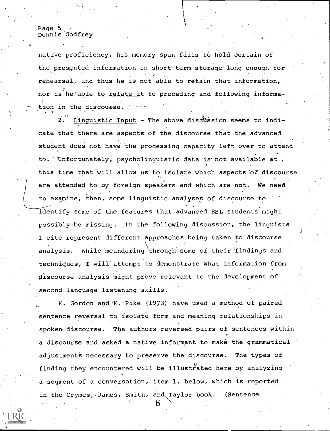Page 5 Dennis Godfrey

native proficiency, his memory span fails to hold certain of the presented information in short-term storage long enough for rehearsal, and thus he is not able to retain that information, nor is he able to relate it to preceding and following information in the discourse.

2. Linguistic Input - The above discussion seems to indicate that there are aspects of the discourse that the advanced student does not have the processing capacity left over to attend to. Unfortunately, psycholinquistic data is not available at this time that'will allow us to isolate which aspects 'of discourse are attended to by foreign speakers and which are not. We need. to examine, then, some linguistic analyses of discourse to identify some of the features that advanced ESL students might possibly be missing. In the following discussion, the linguists I cite represent- different approaches being taken to discourse analysis. While meandering through some of their findings and techniques, I will'attempt to demonstrate what information from discourse analysis might prove relevant to the development of second language listening skills.

K. Gordon and K. Pike (1973) have used a method of paired sentence reversal to isolate form and meaning relationships in spoken discourse. The authors reversed pairs of sentences within a discourse and asked-a native informant to make the grammatical adjustments necessary to preserve the discourse. The types of finding they encountered will be illustrated here by analyzing a segment of a conversation, item 1. below, which is reported in the Crymes, James, Smith, and Taylor book. (Sentence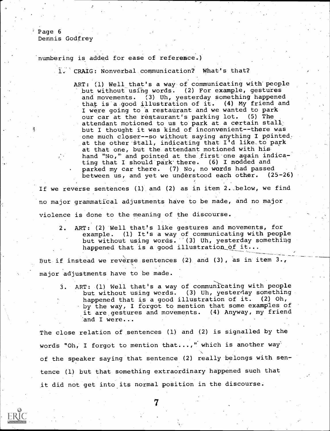Page 6 Dennis Godfrey

numbering is added for ease of reference.)

1. CRAIG: Nonverbal communication? What's that?

ART: (1) Well that's a way of communicating with people but without using words. (2) For example, gestures and movements. (3) Uh, yesterday something happened that is'a good illustration of it. (4) My friend and I were going to a restaurant and we wanted to park our car at the restaurant's parking lot. (5) The attendant motioned to us to park at a certain stall. but I thought it was kind of inconvenient--there was one much closer--so without saying anything I pointed. at the other stall, indicating that I'd like.to park at that one, but the attendant motioned with his hand "No," and pointed at the first one again indicating that I should park' there. (6) I nodded and parked my car there. (7) No, no words had passed between us, and yet we understood each other. (25-26)

If we reverse sentences  $(1)$  and  $(2)$  as in item 2. below, we find no major grammatical adjustments have to be made, and no major violence is done to the meaning of the discourse.

2. ART: (2) Well that's like gestures and movements, for example. (1) It's a way of communicating with people but without using words. (3) Uh, yesterday something happened that is a good illustration of it...

But if instead we reverse sentences (2) and (3), as in item  $3.$ , major adjustments have to be made.

3. ART: (1) Well that's a way of communicating with people but without using words. (3) Uh, yesterday something happened that is a good illustration of it. (2) Oh, by the way, I forgot to mention that some examples of it are gestures and movements. (4) Anyway, my friend 'and I were...

The close relation of sentences (1) and (2) is signalled by the words "Oh, I forgot to mention that...," which is another way' of the speaker saying that sentence (2) really belongs with sentence (1) but that something extraordinary happened such that it did not get into its normal position in the discourse.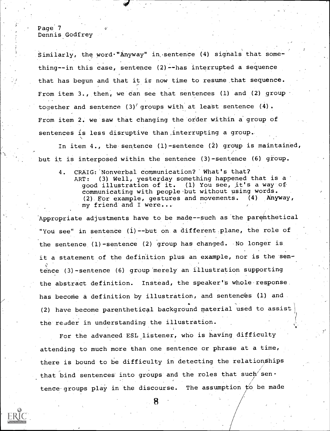## Page 7 Dennis Godfrey

Similarly, the word "Anyway" in sentence (4) signals that something--in this case, sentence (2)--has interrupted a sequence that has begun and that it is now time to resume that sequence. From item 3., then, we can see that sentences (1) and (2) group together and sentence  $(3)^7$  groups with at least sentence  $(4)$ . From item 2. we saw that changing the order within a group of sentences is less disruptive than ,interrupting a group..

In item  $4.$ , the sentence (1)-sentence (2) group is maintained, but it is interposed within the sentence (3)-sentence (6) gioup.

4. CRAIG:' Nonverbal communication?' What's that? ART: (3). Well, yesterday something happened that is a .good illustration of it. (1) You see, it's a way.of communicating with people but without using words.<br>(2) For example, gestures and movements. (4) Anyway, (2) For example, gestures and movements. my friend and I were...

Appropriate adjustments have to be made--such as the parenthetical "You see" in sentence (1)--but on a different plane, the role of the sentence (1)-sentence (2) group has changed. No longer is it a statement of the definition plus an example, nor is the sentence (3)-sentence (6) group merely an illustration supporting the abstract definition. Instead, the speaker's whole response. has become a definition by illustration, and sentences (1) and. (2) have become parenthetical background material used to assist\ the reader in understanding the illustration.

For the advanced ESL listener, who is having difficulty attending to much more than one sentence or phrase at a time, there is bound to be difficulty in detecting the relationships that bind sentences into groups and the roles that such sentence groups play in the discourse. The assumption  $f$ o be made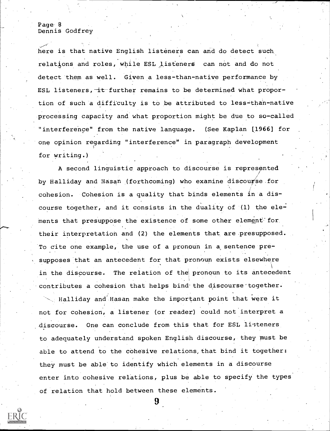#### Page 8 Dennis Godfrey

here is that native English listeners can and do detect such relations and roles, while ESL listeners can not and do not detect them as well. Given a less-than-native performance by ESL listeners, it further remains to be determined what proportion of such a difficulty is to be attributed to less-than-native processing capacity and what proportion might be due to so-called "interference" from the native language. (See Kaplan [1966] for one opinion regarding "interference" in paragraph development for writing.)

A second linguistic approach to discourse is represented by Halliday and Hasan (forthcoming) who examine discourse for cohesion. Cohesion is a quality that binds elements in a discourse together, and it consists in the duality of (1) the elements that presuppose the existence of some other element for their interpretation and (2) the elements that are presupposed. To cite one example, the use of a pronoun in a, sentence presupposes that an antecedent for that pronoun exists elsewhere in the discourse. The relation of the pronoun to its antecedent contributes a cohesion that helps bind the discourse together.

 $\searrow$  Halliday and Hasan make the important point that were it not for cohesion, a listener (or reader) could not interpret a discourse. One can conclude from this that for ESL listeners to adequately understand spoken English discourse, they must be able to attend to the cohesive relations, that bind it together: they must be able'to identify which elements in a discourse enter into cohesive relations, plus be able to specify the types of relation that hold between these elements.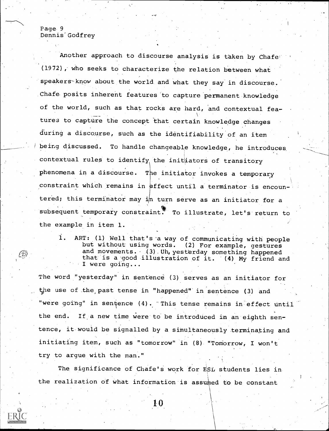## Page 9 Dennis Godfrey

Another approach to discourse analysis is taken by Chafer (1972), who seeks to characterize the relation between what speakers-know about the world and what they say in discourse.' Chafe. posits inherent features to capture 'permanent knowledge of the world, such as that rocks are hard, and contextual fea-Victoria de la construcción de la construcción de la construcción de la construcción de la construcción de la <br>Construcción de la construcción de la construcción de la construcción de la construcción de la construcción de tures to capture the concept that certain knowledge changes during a discourse, such as the identifiability of an item being discussed. To handle changeable knowledge, he introduces contextual rules to identify the initiators of transitory phenomena in a discourse. The initiator invokes a temporary constraint which remains in effect until a terminator is encountered; this terminator may  $i/n$  turn serve as an initiator for a subsequent temporary constraint. To illustrate, let's return to the example in item 1.

1. ART: (1) Well that's'a way of communicating with people but without using words. (2) For example, gestures and movements.  $(3)$  Uh, yesterday something happened<br>that is a good illustration of it.  $(4)$  My friend and that is a good illustration of  $it$ . I were going...

The word "yesterday" in sentence (3) serves as an initiator for the use of the past tense in "happened" in sentence (3) and "were going" in sentence (4). This tense remains in effect until the end. If a new time were to be introduced in an eighth sentence, it would be signalled by a simultaneously terminating and initiating item, such as "tomorrow" in (8) "Tomorrow, I won't try to argue with the man."

The significance of Chafe's work for ESL students lies in the realization of what information is assumed to be constant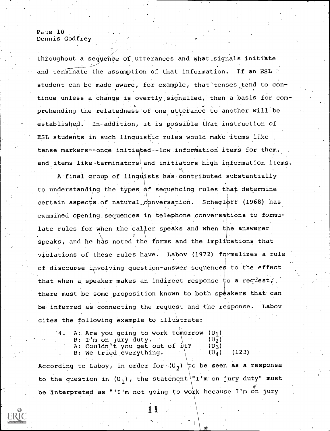Page  $10$ . Dennis Godfrey

throughout a sequence of utterances and what signals initiate and terminate the assumption of that information. If an ESL student can be made aware, for example, that tenses tend to continue unless a change is overtly signalled, then a basis for comprehending the relatedness of one utterance to another will be established. In-addition, it is possible that instruction of ESL students in such linguistic rules would make items like tense markers--once initiated--low information items for them, and items like-terminators and initiators high information items.

A final group of linguists has contributed substantially to understanding the types of sequencing rules that determine certain aspects of natural conversation. Schegloff (1968) has examined opening sequences in telephone conversations to formulate rules for when the caller speaks and when the answerer  $\lambda$  , v  $\alpha$  ,  $\alpha$  ,  $\alpha$  ,  $\alpha$  ,  $\alpha$  ,  $\alpha$ speaks, and he has noted the forms and the implications that violations of these rules have. Labov (1972) fdrmalizes a.rule of discourse involving question-answer sequences to the effect that when a speaker makes an indirect response to a request, there must be some proposition known to both speakers that can be inferred as connecting the request and the response. Labov cites the following example to illustrate:

|  | 4. A: Are you going to work tomorrow (U <sub>1</sub> ) |                   |  |
|--|--------------------------------------------------------|-------------------|--|
|  | $B: Id$ m on jury duty.                                | (Uっ)              |  |
|  | A: Couldn't you get out of it?                         | (U <sub>2</sub> ) |  |
|  | B: We tried everything.                                | $(U_A)$ (123)     |  |
|  |                                                        |                   |  |

According to Labov, in order for  $(U_2)$  to be seen as a response to the question in (U<sub>1</sub>), the statement "I'm on jury duty" must be interpreted as "'I'm not going to work because I'm on jury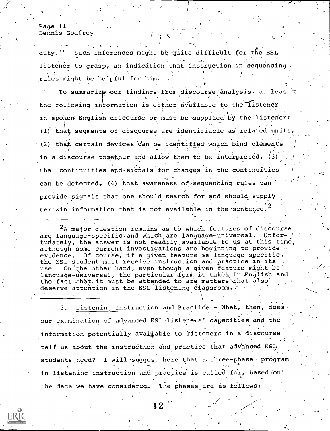Page 11 Dennis Godfrey

 $\mathbf{I}$ 

duty.'" Such inferences might be quite difficult for the ESL Listener to grasp, an indication. that instruction in sequencing ,rules might be helpful for him.

To summarize our findings from discourse analysis, at  $X$ east the following information is either available to the listener in spoken English discourse or must be supplied by the listener: (1) that seqments of discourse are identifiable as related units,  $(2)$  that certain devices can be identified which bind elements in a discourse together and allow them to be interpreted, (3) that continuities and signals for changes in the continuities can be detected, (4) that awareness of/sequencing rules can /<br>// 2007 - 2008 provide signals that one should search for and should supply  $\qquad$ certain information that is not available in the sentence.<sup>2</sup>

 $2_A$  major question remains as to which features of discourse are language-specific and which are language-universal. Unfortunately, the answer is not readily available to us at this time, although some current investigations are beginning to provide. evidence. Of course, if a given feature is language-specific, the ESL student must receive instruction and practice in its use. On. the other hand, even though a given feature might be  $*$ language-universal, the particular form it takes in English and the fact that it must be attended to are matters\that also deserve attention in the ESL'listening classroom.

3. Listening Instruction and Practice - What, then, does our examination of advanced ESL-listeners' capacities and the information potentially available to listeners in a discourse tell us about the instruction and practice that advanced ESL students need? I will suggest here that a three-phase program in listening instruction and practice is called for, based on the data we have considered. The phases are as follows: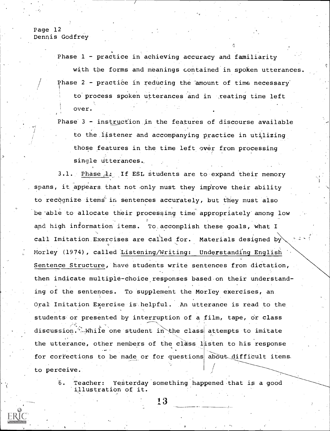Page 12 Dennis Godfrey

Phase 1 - practice in achieving accuracy and familiarity

with the forms and meanings contained in spoken utterances. Phase 2 - practice in reducing the amount of time necessary to process spoken utterances and in reating time left over.

Phase 3 - instruction in the features of discourse available to the listener and accompanying practice in utilizing those features in the time left over from processing single Utterances..

3.1. Phase  $1:$  If ESL students are to expand their memory spans, it appears that not only must they improve their ability to recognize items<sup>i</sup> in sentences accurately, but they must also be 'able to allocate their processing time appropriately among low and high information items. To accomplish these goals, what I call Imitation Exercises are called for. Materials designed by Morley (1974), called Listening/Writing: Understanding English Sentence Structure, have students write sentences from dictation, then indicate multiple-choice responses based.on their understanding of the sentences. To supplement the Morley exercises, an Oral Imitation Exercise is helpful. An utterance is read to the students or presented by interruption of a film, tape, or class discussion. While one student in the class attempts to imitate the utterance, other members of the class listen to his response for corrections to be made or for questions about difficult items. to perceive.

6. Teacher: Yesterday something happened that is a good 'illustration of it.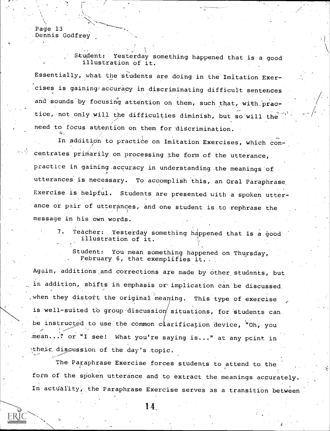Page 13 Dennis Godfrey

Student: Yesterday something happened that is a. good illustration of it.

Essentially, what the students are doing in the Imitation Exercises is gaining accuracy in discriminating difficult sentences and sounds by focusing attention on them, such that, with practice, not only will the difficulties diminish, but so will the need to focus attention on them for discrimination.

In addition to practice on Imitation Exercises, which concentrates primarily on processing the form of the utterance, practice in gaining accuracy in understanding the meanings of utterances is necessary. To accomplish this, an Oral Paraphrase. Exercise is helpful. Students are presented with a. spoken utterance or pair of utterances, and one student is to rephrase the message in his own words.

> Teacher: Yesterday something happened that is a good illustration of it.

Student: You mean something happened on Thursday, February 6, that exemplifies it.

Again, additions and corrections are made by other students, but in addition, shifts in emphasis or implication can be discussed. when they distort the original meaning. This type of exercise is well-suited to group discussion situations, for students can be instructed to use the common c $\mathtt{larification}$  device, "Oh, you mean..." or "I see! What you're saying is..." at any pcint in their discussion of the day's topic.

The Paraphrase Exercise forces students to attend to the form of the spoken utterance and to extract the meanings accurately. In actuality, the Paraphrase Exercise serves as a transition between

14.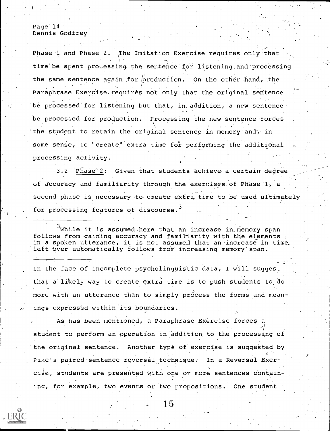#### Page 14 Dennis Godfrey

Phase 1 and Phase 2. The Imitation Exercise requires only'that  $\sqrt{1-\frac{1}{2}}$ time be spent processing the sentence for listening and processing the same sentence again for production. On the other hand, the Paraphrase Exercise requires not only that the original sentence be processed for listening but that, in addition, a new sentencebe processed for production. Processing the new sentence forces the student to retain the original sentence in memory and, in some sense, to "create" extra time for performing the additional processing activity.

3.2 Phase 2: Given that students achieve a certain degree of accuracy and familiarity through the exercises of Phase 1, a second phase is necessary to-create extra time to be used ultimately for processing features of discourse.<sup>3</sup>

 $^3$ While it is assumed here that an increase in memory span follows from gaining accuracy and familiarity with the elements in a spoken utterance; it is not assumed that an:increase in time, left over automatically follows from increasing memory span.

In the face of incomplete psycholinguistic data, I will suggest that a likely way to create extra time is to push students to do more with an utterance than to simply process the forms and meanings expressed within its boundaries.

As has been mentioned, a Paraphrase Exercise forces a student to perform an operation in addition to the processing of the original sentence. Another type of exercise is suggested by Pike's paired-sentence reversal technique: In a Reversal Exer- . cise, students are presented with one or more sentences contain-<br>ing, for example, two events or two propositions. One student

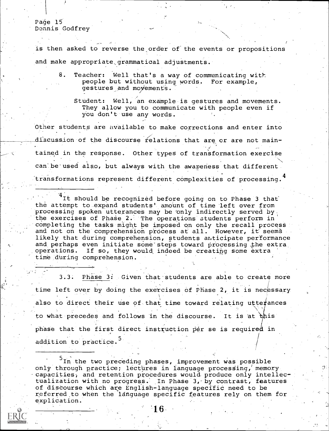## Page 15 Dennis Godfrey

is then asked to reverse the order of the events or propositions and make appropriate grammatical adjustments.

8. Teacher: Well that's a way of communicating with people but without using words. For example, gestures and movements.

Student: Well, an example is gestures and movements. They allow you to communicate with people even if You don't use any words.

Other students are available to make corrections and enter into discussion of the discourse relations that are or are not main-.tained in the response. Other types of transformation exercise can be used also, but always with the awareness that different transformations represent different complexities of processing.<sup>4</sup>

It should be recognized before going on to Phase 3 that the attempt to expand students' amount of time left over from processing spoken utterances may be 'only indirectly served by the exercises of Phase 2. The operations students perform in completing the tasks might be imposed on only the recall process and not on the comprehension process at all. However, it seems likely that during comprehension, students anticipate performance and perhaps even initiate some steps toward processing the extra. operations. If so, they would indeed be creating some extra time during comprehension.

3.3. Phase 3: Given that students are able to create more time left over by doing the exercises of Phase 2, it is necessary also to direct their use of that time toward relating utterances to what precedes and follows in the discourse. It is at this phase that the first direct instruction per se is required in addition to practice.<sup>5</sup>

In the two preceding phases, improvement was possible Only through practice; lectures in language processing,' memory capacities, and retention procedures would produce only intellectualization with no progress: In Phase 3,-by contrast, features of discourse which are English-language specific need to be referred.tO when the language specific features rely on them for explication.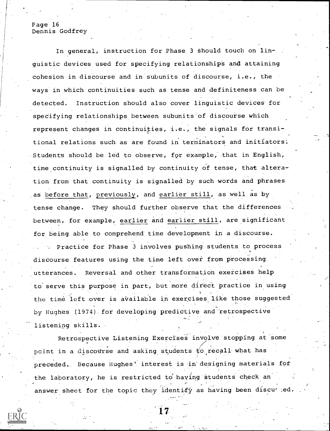#### Page 16 Dennis Godfrey

In general, instruction for Phase 3 should touch on linguistic devices used for specifying relationships and attaining cohesion in discourse and in subunits of discourse, i.e., the ways in which continuities such as tense and definiteness can be detected. Instruction should also cover linguistic devices for specifying relationships between subunits of discourse which represent changes in continuities, i.e., the signals for transitional relations such as are found in terminators and initiators. Students should be led to observe, for example, that in English, time continuity is signalled by continuity of tense, that alteration from that continuity is signalled by such words and phrases as before that, previously, and earlier still, as well as by tense change. They should further observe that the differences between, for example, earlier and earlier still, are significant for being able to comprehend time development in a discourse.

Practice for Phase 3 involves pushing students to process discourse features using the time left over from processing .utterances. ReVersal and other transformation exercises help to serve this purpose in part, but more direct practice in using the time left over is available in exercises like those suggested by Hughes (1974) for developing predictive and retrospective listening skills.

Retrospective Listening Exercises involve stopping at some point in a discourse and asking students to recall what has preceded. Because Hughes' interest is in designing materials for . the laboratory, he is restricted to having students check an , . answer sheet for the topic they identify as having been discured.

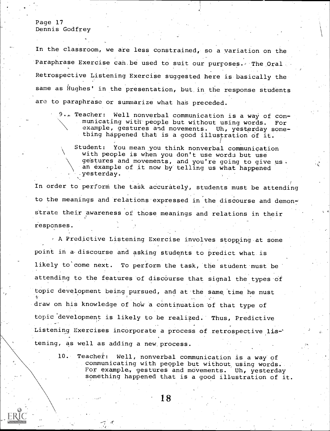## Page 17 Dennis Godfrey

In the classroom, we are less constrained, so a variation on the Paraphrase Exercise can be used to suit our purposes. The Oral Retrospective Listening Exercise suggested here is basically the same as Hughes' in the presentation, but in the response students are to paraphrase or summarize what has preceded.

9,, Teacher: Well nonverbal communication is a way of communicating with people but without using words. For example, gestures and movements. Uh, yesterday something happened that is a good illustration of it.

Student: You mean you think nonverbal communication with people is when you don't use words but use gestures and movements, and you're going to give us. an example of it now by telling us what happened .yesterday.

In order to perform the task accurately, students must be attending to the meanings and relations expressed in the discourse and demonstrate their awareness of those meanings and relations in their responses.

A Predictive Listening Exercise involves stopping at some point in a discourse and asking students to predict what is likely to come next. To perform the task, the student must be attending to the features of discourse that signal the types of topic development being pursued, and at the same time he must draw on his knowledge of how a continuation of that type of topic development is likely to be realized.' Thus, Predictive Listening Exercises incorporate a process of retrospective listening, as well as adding a new, process.

10. Teacher: Well, nonverbal communication is a way of communicating with people but without using words. For example, gestures and movements. Uh, vesterday something happened that is a good illustration of it.

'18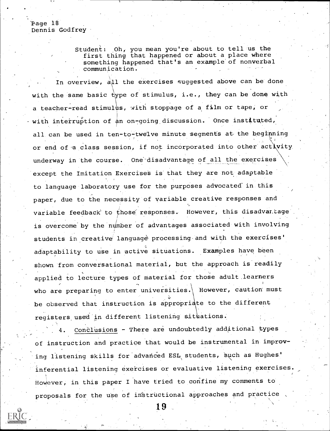'Page 18 Dennis Godfrey

> Student: Oh, you mean you're about to tell us the first thing that happened or about a place where something happened that's an example'of nonverbal communication.

In overview, all the exercises suggested above can be done with the same basic type of stimulus, i.e., they can be done with a teacher-read stimulus, with stoppage of a film or tape, or with interruption of an on-going discussion. Once instituted, all can be used in ten-to-twelve minute segments at the beginning . , or end of a class session, if not incorporated into other activity underway in the course. One disadvantage of all the exercises except the Imitation Exercises is that they are not adaptable to language laboratory use for the purposes advocated in this paper, due to the necessity of variable creative responses and variable feedback to those responses. However, this disadvantage is overcome by the number of advantages associated with involving students in creative language processing and with the exercises' adaptability to use in active situations. Examples have been shown from conversational material, but the approach is readily applied to lecture types of material for those adult.learners who are preparing to enter universities. However, caution must be observed that instruction is appropriate to the different registers used in different listening situations.

Conclusions - There are undoubtedly additional types of instruction and practice that would be instrumental in improv ing listening skills for advanced ESL students, such as Hughes. inferential listening exercises or evaluative listening exercises HoWever, in this paper I have tried to confine my comments to proposals for the use of instructional approaches and practice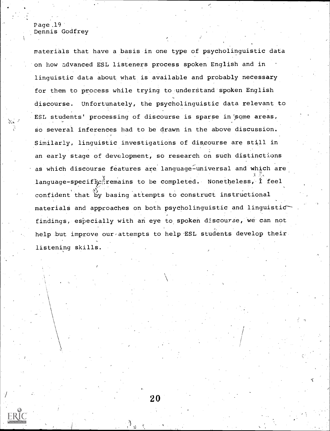# Page  $.19<sup>°</sup>$ Dennis Godfrey

1

materials that have a basis in one type of psycholinguistic data on how advanced ESL listeners process spoken English and in linguistic data about what is available and probably necessary for them to process while trying to understand spoken English discourse. Unfortunately, the psycholinguistic data relevant to ESL students' processing of discourse is sparse in some areas, so several inferences had to be drawn in the above discussion. Similarly, linguistic investigations of discourse are still in an early stage of development, so research on such distinctions as which discourse features are language-universal and which are language-specific remains to be completed. Nonetheless, I feel . . confident that by basing attempts to construct instructional materials and approaches on both psycholinguistic and linguisticfindings, especially with an eye to spoken discourse, we can not help but improve our attempts to help ESL students develop their listening skills.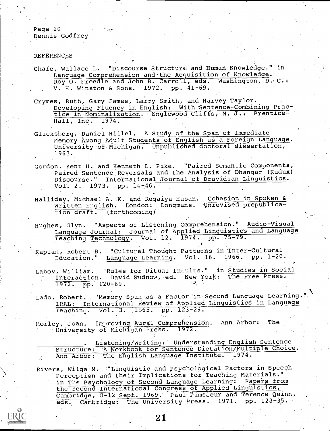Page 20 Dennis Godfrey

#### **REFERENCES**

- Chafe, Wallace L. "Discourse Structure and Human Knowledge." in Language Comprehension and the Acquisition of Knowledge. Roy 0. Freedle and John B. Carroll, eds. Washington, D. C.: V. H. Winston & Sons. 1972, pp. 41-69.
- Crymes, Ruth, Gary James, Larry. Smith, and Harvey Taylor. Developing Fluency in English: With Sentence-Combining Practice in Nominalization. Englewood Cliffs, N. J.: Prentice-<br>Hall. Inc. 1974.  $\overline{\text{Hall}}$ , Inc.
- GlickSberg, Daniel Hillel. A-Study of the Span of Immediate Memory Among Adult Students of English as a Foreign Language. University of Michigan. UnpubliShed doctoral dissertation, 1963.
- Gordon, Kent H. and Kenneth L. Pike. 'Paired Semantic Components, Paired Sentence. Reversals and the Analysis of Dhangar (Kuduk) Discourse." International Journal of Dravidian Linguistics. Vol. 2. 1973. pp. 14-46.
- Halliday, Michael A. K. and Rugaiya Hasan. Cohesion in Spoken & Written English. London: Longmans. Unrevised prepublication draft. (forthcoming)'

Hughes, Glyn. "Aspects of Listening Comprehension." Audio-Visual Language Journal: Journal of Applied Linguistics and Language Teaching Technology. Vol. 12. 1974. pp. 75-79.

Kaplan, Robert B. "Cultural Thought Patterns in Inter-Cultural Education." Language Learning. Vol. 16. 1966. pp. 1-20.

Labov, William. "Rules for Ritual Insults." in Studies in Social Interaction. David Sudnow, ed. New York: The Free Press.  $1972.$  pp. 120-69.

Lado, Robert. "Memory Span as a Factor'in Second Language Learning.'' IRAL: International Review of Applied Linguistics in Language Teaching. Vol. 3. 1965. pp. 123-29.

Morley, Joan. Improving Aural: Comprehension. Ann Arbor: The University of Michigan Press. 1972.

|  | Listening/Writing: Understanding English Sentence             |  |
|--|---------------------------------------------------------------|--|
|  | Structure: A Workbook for Sentence Dictation/Multiple Choice. |  |
|  | Ann Arbor: The English Language Institute. 1974.              |  |

Rivers, Wilga M. "Linguistic and Psychological Factors in Speech Perception and their Implications for Teaching Materials." in The Psychology of Second Language Learning: Papers from the Second International Congress of Applied Linguistics, Cambridge, 8-12 Sept. 1969. Paul Pimsleur and Terence Quinn, eds. Cambridge: The University Press. 1971. pp. 123-35.